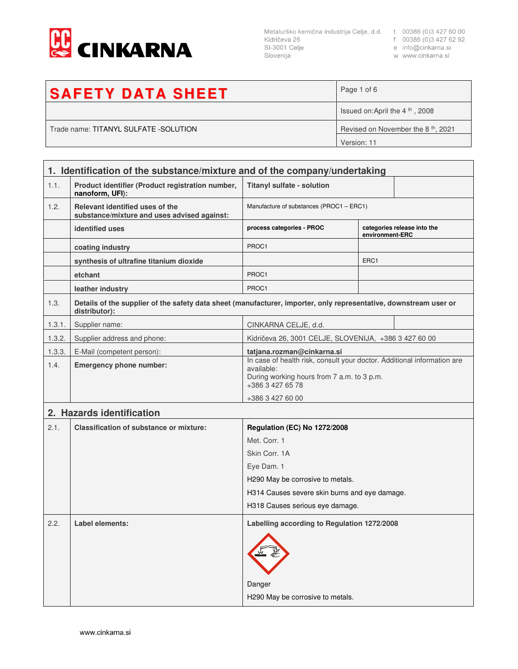

Metalurško kemična industrija Celje, d.d. t 00386 (0)3 427 60 00<br>Kidričeva 26 f 00386 (0)3 427 62 92<br>SI-3001 Celje e info@cinkarna.si Slovenija

w www.cinkarna.si

| <b>SAFETY DATA SHEET</b>              | Page 1 of 6                                    |  |
|---------------------------------------|------------------------------------------------|--|
|                                       | Issued on:April the $4th$ , 2008               |  |
| Trade name: TITANYL SULFATE -SOLUTION | Revised on November the 8 <sup>th</sup> , 2021 |  |
|                                       | Version: 11                                    |  |

| 1. Identification of the substance/mixture and of the company/undertaking |                                                                                                                                    |                                                                                                                                                         |                  |                             |
|---------------------------------------------------------------------------|------------------------------------------------------------------------------------------------------------------------------------|---------------------------------------------------------------------------------------------------------------------------------------------------------|------------------|-----------------------------|
| 1.1.                                                                      | Product identifier (Product registration number,<br>nanoform, UFI):                                                                | <b>Titanyl sulfate - solution</b>                                                                                                                       |                  |                             |
| 1.2.                                                                      | Relevant identified uses of the<br>substance/mixture and uses advised against:                                                     | Manufacture of substances (PROC1 - ERC1)                                                                                                                |                  |                             |
|                                                                           | identified uses                                                                                                                    | process categories - PROC                                                                                                                               | environment-ERC  | categories release into the |
|                                                                           | coating industry                                                                                                                   | PROC1                                                                                                                                                   |                  |                             |
|                                                                           | synthesis of ultrafine titanium dioxide                                                                                            |                                                                                                                                                         | ERC <sub>1</sub> |                             |
|                                                                           | etchant                                                                                                                            | PROC1                                                                                                                                                   |                  |                             |
|                                                                           | leather industry                                                                                                                   | PROC1                                                                                                                                                   |                  |                             |
| 1.3.                                                                      | Details of the supplier of the safety data sheet (manufacturer, importer, only representative, downstream user or<br>distributor): |                                                                                                                                                         |                  |                             |
| 1.3.1.                                                                    | Supplier name:                                                                                                                     | CINKARNA CELJE, d.d.                                                                                                                                    |                  |                             |
| 1.3.2.                                                                    | Supplier address and phone:                                                                                                        | Kidričeva 26, 3001 CELJE, SLOVENIJA, +386 3 427 60 00                                                                                                   |                  |                             |
| 1.3.3.                                                                    | E-Mail (competent person):                                                                                                         | tatjana.rozman@cinkarna.si                                                                                                                              |                  |                             |
| 1.4.                                                                      | <b>Emergency phone number:</b>                                                                                                     | In case of health risk, consult your doctor. Additional information are<br>available:<br>During working hours from 7 a.m. to 3 p.m.<br>+386 3 427 65 78 |                  |                             |
|                                                                           |                                                                                                                                    | +386 3 427 60 00                                                                                                                                        |                  |                             |
|                                                                           | 2. Hazards identification                                                                                                          |                                                                                                                                                         |                  |                             |
| 2.1.                                                                      | <b>Classification of substance or mixture:</b>                                                                                     | <b>Regulation (EC) No 1272/2008</b>                                                                                                                     |                  |                             |
|                                                                           |                                                                                                                                    | Met. Corr. 1                                                                                                                                            |                  |                             |
|                                                                           |                                                                                                                                    | Skin Corr, 1A                                                                                                                                           |                  |                             |
|                                                                           |                                                                                                                                    | Eye Dam. 1                                                                                                                                              |                  |                             |
|                                                                           |                                                                                                                                    | H290 May be corrosive to metals.                                                                                                                        |                  |                             |
|                                                                           |                                                                                                                                    | H314 Causes severe skin burns and eye damage.<br>H318 Causes serious eye damage.                                                                        |                  |                             |
|                                                                           |                                                                                                                                    |                                                                                                                                                         |                  |                             |
| 2.2.                                                                      | Label elements:                                                                                                                    | Labelling according to Regulation 1272/2008<br>Danger<br>H290 May be corrosive to metals.                                                               |                  |                             |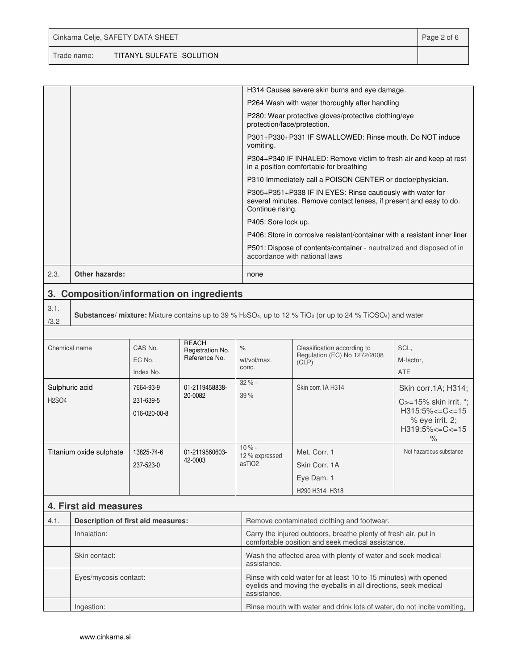Trade name: TITANYL SULFATE -SOLUTION

**3. Composition/information on ingredients**

| H314 Causes severe skin burns and eye damage.<br>P264 Wash with water thoroughly after handling<br>P280: Wear protective gloves/protective clothing/eye<br>protection/face/protection.<br>P301+P330+P331 IF SWALLOWED: Rinse mouth, Do NOT induce<br>vomiting.<br>P304+P340 IF INHALED: Remove victim to fresh air and keep at rest<br>in a position comfortable for breathing<br>P310 Immediately call a POISON CENTER or doctor/physician.<br>P305+P351+P338 IF IN EYES: Rinse cautiously with water for<br>several minutes. Remove contact lenses, if present and easy to do.<br>Continue rising.<br>P405: Sore lock up.<br>P406: Store in corrosive resistant/container with a resistant inner liner<br>P501: Dispose of contents/container - neutralized and disposed of in<br>accordance with national laws<br><b>Other hazards:</b><br>2.3.<br>none |  |  |
|------------------------------------------------------------------------------------------------------------------------------------------------------------------------------------------------------------------------------------------------------------------------------------------------------------------------------------------------------------------------------------------------------------------------------------------------------------------------------------------------------------------------------------------------------------------------------------------------------------------------------------------------------------------------------------------------------------------------------------------------------------------------------------------------------------------------------------------------------------|--|--|
|                                                                                                                                                                                                                                                                                                                                                                                                                                                                                                                                                                                                                                                                                                                                                                                                                                                            |  |  |
|                                                                                                                                                                                                                                                                                                                                                                                                                                                                                                                                                                                                                                                                                                                                                                                                                                                            |  |  |
|                                                                                                                                                                                                                                                                                                                                                                                                                                                                                                                                                                                                                                                                                                                                                                                                                                                            |  |  |
|                                                                                                                                                                                                                                                                                                                                                                                                                                                                                                                                                                                                                                                                                                                                                                                                                                                            |  |  |
|                                                                                                                                                                                                                                                                                                                                                                                                                                                                                                                                                                                                                                                                                                                                                                                                                                                            |  |  |
|                                                                                                                                                                                                                                                                                                                                                                                                                                                                                                                                                                                                                                                                                                                                                                                                                                                            |  |  |
|                                                                                                                                                                                                                                                                                                                                                                                                                                                                                                                                                                                                                                                                                                                                                                                                                                                            |  |  |
|                                                                                                                                                                                                                                                                                                                                                                                                                                                                                                                                                                                                                                                                                                                                                                                                                                                            |  |  |
|                                                                                                                                                                                                                                                                                                                                                                                                                                                                                                                                                                                                                                                                                                                                                                                                                                                            |  |  |
|                                                                                                                                                                                                                                                                                                                                                                                                                                                                                                                                                                                                                                                                                                                                                                                                                                                            |  |  |
|                                                                                                                                                                                                                                                                                                                                                                                                                                                                                                                                                                                                                                                                                                                                                                                                                                                            |  |  |

## 3.1. /3.2

**Substances/ mixture:** Mixture contains up to 39 % H2SO4, up to 12 % TiO2 (or up to 24 % TiOSO4) and water

| Chemical name                  | CAS No.<br>EC No.<br>Index No.         | <b>REACH</b><br>Registration No.<br>Reference No. | $\%$<br>wt/vol/max.<br>conc.                    | Classification according to<br>Regulation (EC) No 1272/2008<br>(CLP) | SCL,<br>M-factor,<br>ATE                                                                                                         |
|--------------------------------|----------------------------------------|---------------------------------------------------|-------------------------------------------------|----------------------------------------------------------------------|----------------------------------------------------------------------------------------------------------------------------------|
| Sulphuric acid<br><b>H2SO4</b> | 7664-93-9<br>231-639-5<br>016-020-00-8 | 01-2119458838-<br>20-0082                         | $32 \% -$<br>39 %                               | Skin corr. 1A H314                                                   | Skin corr. 1A; H314;<br>$C = 15\%$ skin irrit. ";<br>$H315:5\% < = C < 15$<br>$%$ eye irrit. 2;<br>$H319:5\% < = C < 15$<br>$\%$ |
| Titanium oxide sulphate        | 13825-74-6<br>237-523-0                | 01-2119560603-<br>42-0003                         | $10% -$<br>12 % expressed<br>asTiO <sub>2</sub> | Met. Corr. 1<br>Skin Corr. 1A<br>Eye Dam. 1<br>H290 H314 H318        | Not hazardous substance                                                                                                          |

## **4. First aid measures**

| 4.1. | Description of first aid measures: | Remove contaminated clothing and footwear.                                                                                                         |
|------|------------------------------------|----------------------------------------------------------------------------------------------------------------------------------------------------|
|      | Inhalation:                        | Carry the injured outdoors, breathe plenty of fresh air, put in<br>comfortable position and seek medical assistance.                               |
|      | Skin contact:                      | Wash the affected area with plenty of water and seek medical<br>assistance.                                                                        |
|      | Eyes/mycosis contact:              | Rinse with cold water for at least 10 to 15 minutes) with opened<br>eyelids and moving the eyeballs in all directions, seek medical<br>assistance. |
|      | Ingestion:                         | Rinse mouth with water and drink lots of water, do not incite vomiting,                                                                            |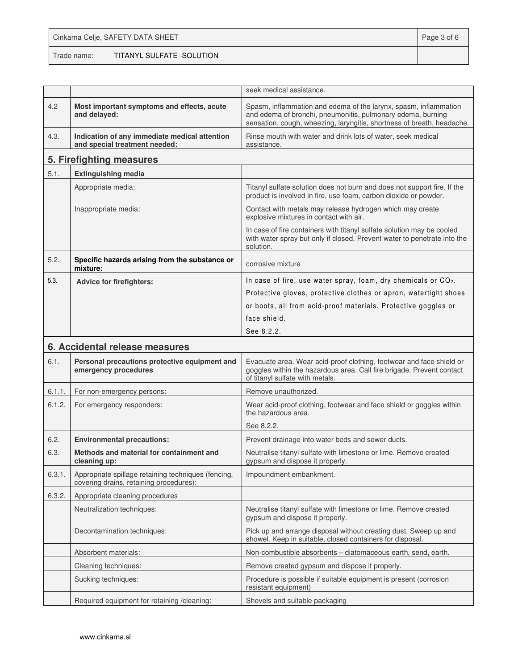## Cinkarna Celje, SAFETY DATA SHEET **Page 3 of 6** and 2011 12 and 2012 12 and 2012 12 and 2012 12 and 2012 12 and 201

Trade name: TITANYL SULFATE -SOLUTION

|        |                                                                                                | seek medical assistance.                                                                                                                                                                                  |
|--------|------------------------------------------------------------------------------------------------|-----------------------------------------------------------------------------------------------------------------------------------------------------------------------------------------------------------|
| 4.2    | Most important symptoms and effects, acute<br>and delayed:                                     | Spasm, inflammation and edema of the larynx, spasm, inflammation<br>and edema of bronchi, pneumonitis, pulmonary edema, burning<br>sensation, cough, wheezing, laryngitis, shortness of breath, headache. |
| 4.3.   | Indication of any immediate medical attention<br>and special treatment needed:                 | Rinse mouth with water and drink lots of water, seek medical<br>assistance.                                                                                                                               |
|        | 5. Firefighting measures                                                                       |                                                                                                                                                                                                           |
| 5.1.   | <b>Extinguishing media</b>                                                                     |                                                                                                                                                                                                           |
|        | Appropriate media:                                                                             | Titanyl sulfate solution does not burn and does not support fire. If the<br>product is involved in fire, use foam, carbon dioxide or powder.                                                              |
|        | Inappropriate media:                                                                           | Contact with metals may release hydrogen which may create<br>explosive mixtures in contact with air.                                                                                                      |
|        |                                                                                                | In case of fire containers with titanyl sulfate solution may be cooled<br>with water spray but only if closed. Prevent water to penetrate into the<br>solution.                                           |
| 5.2.   | Specific hazards arising from the substance or<br>mixture:                                     | corrosive mixture                                                                                                                                                                                         |
| 5.3.   | <b>Advice for firefighters:</b>                                                                | In case of fire, use water spray, foam, dry chemicals or CO <sub>2</sub> .                                                                                                                                |
|        |                                                                                                | Protective gloves, protective clothes or apron, watertight shoes                                                                                                                                          |
|        |                                                                                                | or boots, all from acid-proof materials. Protective goggles or                                                                                                                                            |
|        |                                                                                                | face shield.                                                                                                                                                                                              |
|        |                                                                                                | See 8.2.2.                                                                                                                                                                                                |
|        | 6. Accidental release measures                                                                 |                                                                                                                                                                                                           |
| 6.1.   | Personal precautions protective equipment and<br>emergency procedures                          | Evacuate area. Wear acid-proof clothing, footwear and face shield or<br>goggles within the hazardous area. Call fire brigade. Prevent contact<br>of titanyl sulfate with metals.                          |
| 6.1.1. | For non-emergency persons:                                                                     | Remove unauthorized.                                                                                                                                                                                      |
| 6.1.2. | For emergency responders:                                                                      | Wear acid-proof clothing, footwear and face shield or goggles within<br>the hazardous area.                                                                                                               |
|        |                                                                                                | See 8.2.2.                                                                                                                                                                                                |
| 6.2.   | <b>Environmental precautions:</b>                                                              | Prevent drainage into water beds and sewer ducts.                                                                                                                                                         |
| 6.3.   | Methods and material for containment and<br>cleaning up:                                       | Neutralise titanyl sulfate with limestone or lime. Remove created<br>gypsum and dispose it properly.                                                                                                      |
| 6.3.1. | Appropriate spillage retaining techniques (fencing,<br>covering drains, retaining procedures): | Impoundment embankment.                                                                                                                                                                                   |
| 6.3.2. | Appropriate cleaning procedures                                                                |                                                                                                                                                                                                           |
|        | Neutralization techniques:                                                                     | Neutralise titanyl sulfate with limestone or lime. Remove created<br>gypsum and dispose it properly.                                                                                                      |
|        | Decontamination techniques:                                                                    | Pick up and arrange disposal without creating dust. Sweep up and<br>showel. Keep in suitable, closed containers for disposal.                                                                             |
|        | Absorbent materials:                                                                           | Non-combustible absorbents - diatomaceous earth, send, earth.                                                                                                                                             |
|        | Cleaning techniques:                                                                           | Remove created gypsum and dispose it properly.                                                                                                                                                            |
|        | Sucking techniques:                                                                            | Procedure is possible if suitable equipment is present (corrosion<br>resistant equipment)                                                                                                                 |
|        | Required equipment for retaining /cleaning:                                                    | Shovels and suitable packaging                                                                                                                                                                            |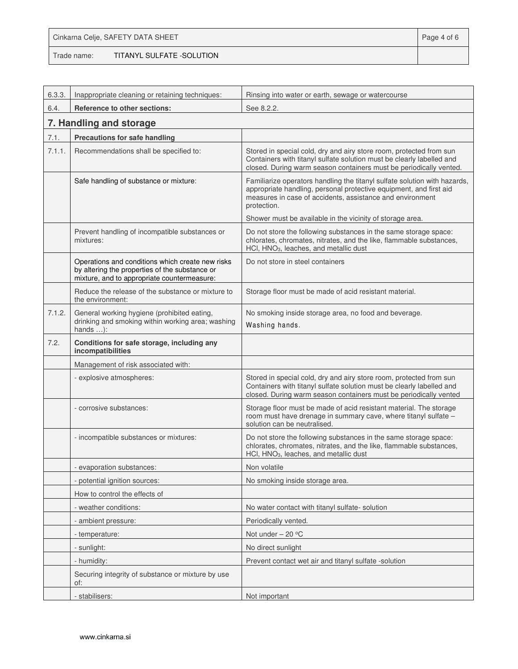|             | Cinkarna Celje, SAFETY DATA SHEET | Page 4 of 6 |
|-------------|-----------------------------------|-------------|
| Trade name: | TITANYL SULFATE -SOLUTION         |             |

| 6.3.3. | Inappropriate cleaning or retaining techniques:                                                                                                   | Rinsing into water or earth, sewage or watercourse                                                                                                                                                                          |
|--------|---------------------------------------------------------------------------------------------------------------------------------------------------|-----------------------------------------------------------------------------------------------------------------------------------------------------------------------------------------------------------------------------|
| 6.4.   | Reference to other sections:                                                                                                                      | See 8.2.2.                                                                                                                                                                                                                  |
|        | 7. Handling and storage                                                                                                                           |                                                                                                                                                                                                                             |
| 7.1.   | Precautions for safe handling                                                                                                                     |                                                                                                                                                                                                                             |
| 7.1.1. | Recommendations shall be specified to:                                                                                                            | Stored in special cold, dry and airy store room, protected from sun<br>Containers with titanyl sulfate solution must be clearly labelled and<br>closed. During warm season containers must be periodically vented.          |
|        | Safe handling of substance or mixture:                                                                                                            | Familiarize operators handling the titanyl sulfate solution with hazards,<br>appropriate handling, personal protective equipment, and first aid<br>measures in case of accidents, assistance and environment<br>protection. |
|        |                                                                                                                                                   | Shower must be available in the vicinity of storage area.                                                                                                                                                                   |
|        | Prevent handling of incompatible substances or<br>mixtures:                                                                                       | Do not store the following substances in the same storage space:<br>chlorates, chromates, nitrates, and the like, flammable substances,<br>HCl, HNO <sub>3</sub> , leaches, and metallic dust                               |
|        | Operations and conditions which create new risks<br>by altering the properties of the substance or<br>mixture, and to appropriate countermeasure: | Do not store in steel containers                                                                                                                                                                                            |
|        | Reduce the release of the substance or mixture to<br>the environment:                                                                             | Storage floor must be made of acid resistant material.                                                                                                                                                                      |
| 7.1.2. | General working hygiene (prohibited eating,<br>drinking and smoking within working area; washing<br>hands $\dots$ :                               | No smoking inside storage area, no food and beverage.<br>Washing hands.                                                                                                                                                     |
| 7.2.   | Conditions for safe storage, including any<br>incompatibilities                                                                                   |                                                                                                                                                                                                                             |
|        | Management of risk associated with:                                                                                                               |                                                                                                                                                                                                                             |
|        | - explosive atmospheres:                                                                                                                          | Stored in special cold, dry and airy store room, protected from sun<br>Containers with titanyl sulfate solution must be clearly labelled and<br>closed. During warm season containers must be periodically vented           |
|        | - corrosive substances:                                                                                                                           | Storage floor must be made of acid resistant material. The storage<br>room must have drenage in summary cave, where titanyl sulfate -<br>solution can be neutralised.                                                       |
|        | - incompatible substances or mixtures:                                                                                                            | Do not store the following substances in the same storage space:<br>chlorates, chromates, nitrates, and the like, flammable substances,<br>HCI, HNO <sub>3</sub> , leaches, and metallic dust                               |
|        | - evaporation substances:                                                                                                                         | Non volatile                                                                                                                                                                                                                |
|        | - potential ignition sources:                                                                                                                     | No smoking inside storage area.                                                                                                                                                                                             |
|        | How to control the effects of                                                                                                                     |                                                                                                                                                                                                                             |
|        | - weather conditions:                                                                                                                             | No water contact with titanyl sulfate-solution                                                                                                                                                                              |
|        | - ambient pressure:                                                                                                                               | Periodically vented.                                                                                                                                                                                                        |
|        | - temperature:                                                                                                                                    | Not under - 20 °C                                                                                                                                                                                                           |
|        | - sunlight:                                                                                                                                       | No direct sunlight                                                                                                                                                                                                          |
|        | - humidity:                                                                                                                                       | Prevent contact wet air and titanyl sulfate -solution                                                                                                                                                                       |
|        | Securing integrity of substance or mixture by use<br>of:                                                                                          |                                                                                                                                                                                                                             |
|        | - stabilisers:                                                                                                                                    | Not important                                                                                                                                                                                                               |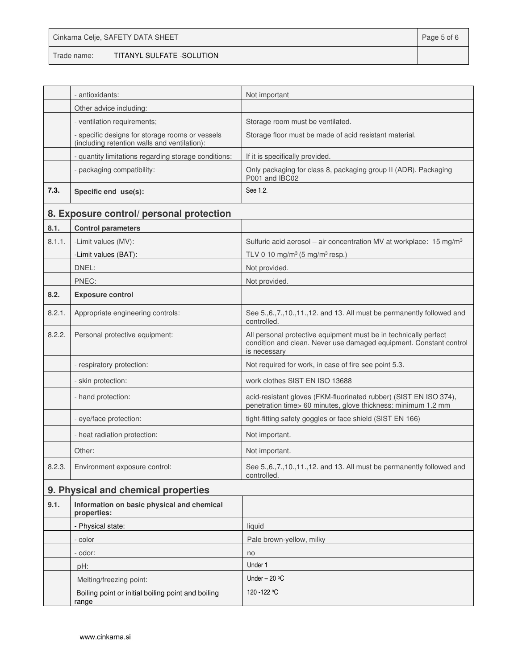|             | Cinkarna Celje, SAFETY DATA SHEET | Page 5 of 6 |
|-------------|-----------------------------------|-------------|
| Trade name: | TITANYL SULFATE -SOLUTION         |             |

|        | - antioxidants:                                                                                 | Not important                                                                                                                                          |
|--------|-------------------------------------------------------------------------------------------------|--------------------------------------------------------------------------------------------------------------------------------------------------------|
|        | Other advice including:                                                                         |                                                                                                                                                        |
|        | - ventilation requirements;                                                                     | Storage room must be ventilated.                                                                                                                       |
|        | - specific designs for storage rooms or vessels<br>(including retention walls and ventilation): | Storage floor must be made of acid resistant material.                                                                                                 |
|        | - quantity limitations regarding storage conditions:                                            | If it is specifically provided.                                                                                                                        |
|        | - packaging compatibility:                                                                      | Only packaging for class 8, packaging group II (ADR). Packaging<br>P001 and IBC02                                                                      |
| 7.3.   | Specific end use(s):                                                                            | See 1.2.                                                                                                                                               |
|        | 8. Exposure control/ personal protection                                                        |                                                                                                                                                        |
| 8.1.   | <b>Control parameters</b>                                                                       |                                                                                                                                                        |
| 8.1.1. | -Limit values (MV):                                                                             | Sulfuric acid aerosol – air concentration MV at workplace: 15 mg/m <sup>3</sup>                                                                        |
|        | -Limit values (BAT):                                                                            | TLV 0 10 mg/m <sup>3</sup> (5 mg/m <sup>3</sup> resp.)                                                                                                 |
|        | DNEL:                                                                                           | Not provided.                                                                                                                                          |
|        | PNEC:                                                                                           | Not provided.                                                                                                                                          |
| 8.2.   | <b>Exposure control</b>                                                                         |                                                                                                                                                        |
| 8.2.1. | Appropriate engineering controls:                                                               | See 5., 6., 7., 10., 11., 12. and 13. All must be permanently followed and<br>controlled.                                                              |
| 8.2.2. | Personal protective equipment:                                                                  | All personal protective equipment must be in technically perfect<br>condition and clean. Never use damaged equipment. Constant control<br>is necessary |
|        | - respiratory protection:                                                                       | Not required for work, in case of fire see point 5.3.                                                                                                  |
|        | - skin protection:                                                                              | work clothes SIST EN ISO 13688                                                                                                                         |
|        | - hand protection:                                                                              | acid-resistant gloves (FKM-fluorinated rubber) (SIST EN ISO 374),<br>penetration time> 60 minutes, glove thickness: minimum 1.2 mm                     |
|        | - eye/face protection:                                                                          | tight-fitting safety goggles or face shield (SIST EN 166)                                                                                              |
|        | - heat radiation protection:                                                                    | Not important.                                                                                                                                         |
|        | Other:                                                                                          | Not important.                                                                                                                                         |
| 8.2.3. | Environment exposure control:                                                                   | See 5., 6., 7., 10., 11., 12. and 13. All must be permanently followed and<br>controlled.                                                              |
|        | 9. Physical and chemical properties                                                             |                                                                                                                                                        |
| 9.1.   | Information on basic physical and chemical<br>properties:                                       |                                                                                                                                                        |
|        | - Physical state:                                                                               | liquid                                                                                                                                                 |
|        | - color                                                                                         | Pale brown-yellow, milky                                                                                                                               |
|        | - odor:                                                                                         | no                                                                                                                                                     |
|        | pH:                                                                                             | Under 1                                                                                                                                                |
|        | Melting/freezing point:                                                                         | Under $-20 °C$                                                                                                                                         |
|        | Boiling point or initial boiling point and boiling<br>range                                     | 120-122 °C                                                                                                                                             |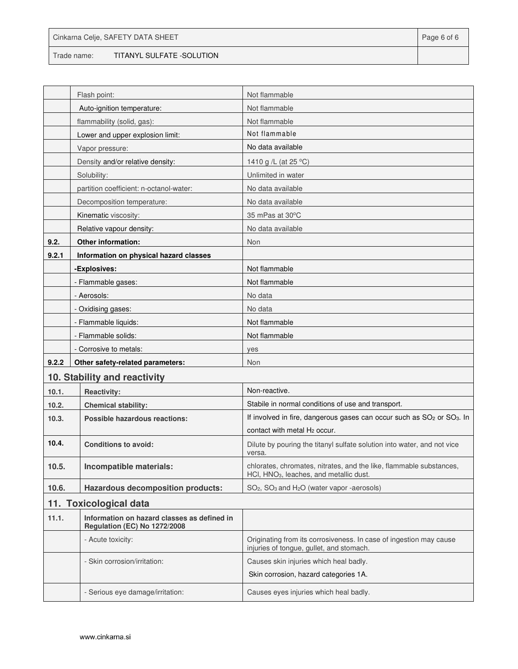|             | Cinkarna Celje, SAFETY DATA SHEET | Page 6 of 6 |
|-------------|-----------------------------------|-------------|
| Trade name: | TITANYL SULFATE -SOLUTION         |             |

|       | Flash point:                                                                       | Not flammable                                                                                                              |
|-------|------------------------------------------------------------------------------------|----------------------------------------------------------------------------------------------------------------------------|
|       | Auto-ignition temperature:                                                         | Not flammable                                                                                                              |
|       | flammability (solid, gas):                                                         | Not flammable                                                                                                              |
|       | Lower and upper explosion limit:                                                   | Not flammable                                                                                                              |
|       | Vapor pressure:                                                                    | No data available                                                                                                          |
|       | Density and/or relative density:                                                   | 1410 g /L (at 25 °C)                                                                                                       |
|       | Solubility:                                                                        | Unlimited in water                                                                                                         |
|       | partition coefficient: n-octanol-water:                                            | No data available                                                                                                          |
|       | Decomposition temperature:                                                         | No data available                                                                                                          |
|       | Kinematic viscosity:                                                               | 35 mPas at 30°C                                                                                                            |
|       | Relative vapour density:                                                           | No data available                                                                                                          |
| 9.2.  | Other information:                                                                 | Non                                                                                                                        |
| 9.2.1 | Information on physical hazard classes                                             |                                                                                                                            |
|       | -Explosives:                                                                       | Not flammable                                                                                                              |
|       | - Flammable gases:                                                                 | Not flammable                                                                                                              |
|       | - Aerosols:                                                                        | No data                                                                                                                    |
|       | - Oxidising gases:                                                                 | No data                                                                                                                    |
|       | - Flammable liquids:                                                               | Not flammable                                                                                                              |
|       | - Flammable solids:                                                                | Not flammable                                                                                                              |
|       | - Corrosive to metals:                                                             | yes                                                                                                                        |
| 9.2.2 | Other safety-related parameters:                                                   | Non                                                                                                                        |
|       | 10. Stability and reactivity                                                       |                                                                                                                            |
| 10.1. | <b>Reactivity:</b>                                                                 | Non-reactive.                                                                                                              |
| 10.2. | <b>Chemical stability:</b>                                                         | Stabile in normal conditions of use and transport.                                                                         |
| 10.3. | Possible hazardous reactions:                                                      | If involved in fire, dangerous gases can occur such as SO <sub>2</sub> or SO <sub>3</sub> . In                             |
|       |                                                                                    | contact with metal H <sub>2</sub> occur.                                                                                   |
| 10.4. | <b>Conditions to avoid:</b>                                                        | Dilute by pouring the titanyl sulfate solution into water, and not vice<br>versa.                                          |
| 10.5. | Incompatible materials:                                                            | chlorates, chromates, nitrates, and the like, flammable substances,<br>HCI. HNO <sub>3</sub> , leaches, and metallic dust. |
| 10.6. | <b>Hazardous decomposition products:</b>                                           | SO <sub>2</sub> , SO <sub>3</sub> and H <sub>2</sub> O (water vapor -aerosols)                                             |
|       | 11. Toxicological data                                                             |                                                                                                                            |
| 11.1. | Information on hazard classes as defined in<br><b>Regulation (EC) No 1272/2008</b> |                                                                                                                            |
|       | - Acute toxicity:                                                                  | Originating from its corrosiveness. In case of ingestion may cause<br>injuries of tongue, gullet, and stomach.             |
|       | - Skin corrosion/irritation:                                                       | Causes skin injuries which heal badly.                                                                                     |
|       |                                                                                    | Skin corrosion, hazard categories 1A.                                                                                      |
|       | - Serious eye damage/irritation:                                                   | Causes eyes injuries which heal badly.                                                                                     |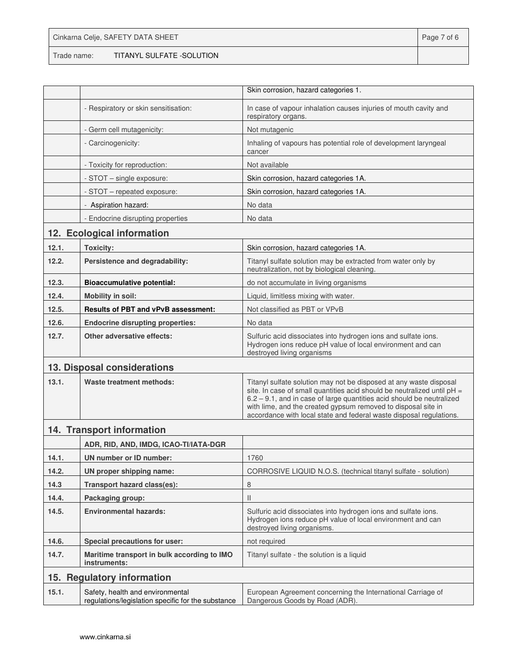| Cinkarna Celje, SAFETY DATA SHEET |                           |  |
|-----------------------------------|---------------------------|--|
| Trade name:                       | TITANYL SULFATE -SOLUTION |  |

|                            |                                                                                        | Skin corrosion, hazard categories 1.                                                                                                                                                                                                                                                                                                                             |  |  |
|----------------------------|----------------------------------------------------------------------------------------|------------------------------------------------------------------------------------------------------------------------------------------------------------------------------------------------------------------------------------------------------------------------------------------------------------------------------------------------------------------|--|--|
|                            | - Respiratory or skin sensitisation:                                                   | In case of vapour inhalation causes injuries of mouth cavity and<br>respiratory organs.                                                                                                                                                                                                                                                                          |  |  |
|                            | - Germ cell mutagenicity:                                                              | Not mutagenic                                                                                                                                                                                                                                                                                                                                                    |  |  |
|                            | - Carcinogenicity:                                                                     | Inhaling of vapours has potential role of development laryngeal<br>cancer                                                                                                                                                                                                                                                                                        |  |  |
|                            | - Toxicity for reproduction:                                                           | Not available                                                                                                                                                                                                                                                                                                                                                    |  |  |
|                            | - STOT – single exposure:                                                              | Skin corrosion, hazard categories 1A.                                                                                                                                                                                                                                                                                                                            |  |  |
|                            | - STOT - repeated exposure:                                                            | Skin corrosion, hazard categories 1A.                                                                                                                                                                                                                                                                                                                            |  |  |
|                            | - Aspiration hazard:                                                                   | No data                                                                                                                                                                                                                                                                                                                                                          |  |  |
|                            | - Endocrine disrupting properties                                                      | No data                                                                                                                                                                                                                                                                                                                                                          |  |  |
| 12. Ecological information |                                                                                        |                                                                                                                                                                                                                                                                                                                                                                  |  |  |
| 12.1.                      | <b>Toxicity:</b>                                                                       | Skin corrosion, hazard categories 1A.                                                                                                                                                                                                                                                                                                                            |  |  |
| 12.2.                      | Persistence and degradability:                                                         | Titanyl sulfate solution may be extracted from water only by<br>neutralization, not by biological cleaning.                                                                                                                                                                                                                                                      |  |  |
| 12.3.                      | <b>Bioaccumulative potential:</b>                                                      | do not accumulate in living organisms                                                                                                                                                                                                                                                                                                                            |  |  |
| 12.4.                      | <b>Mobility in soil:</b>                                                               | Liquid, limitless mixing with water.                                                                                                                                                                                                                                                                                                                             |  |  |
| 12.5.                      | <b>Results of PBT and vPvB assessment:</b>                                             | Not classified as PBT or VPvB                                                                                                                                                                                                                                                                                                                                    |  |  |
| 12.6.                      | <b>Endocrine disrupting properties:</b>                                                | No data                                                                                                                                                                                                                                                                                                                                                          |  |  |
| 12.7.                      | Other adversative effects:                                                             | Sulfuric acid dissociates into hydrogen ions and sulfate ions.<br>Hydrogen ions reduce pH value of local environment and can<br>destroyed living organisms                                                                                                                                                                                                       |  |  |
|                            | 13. Disposal considerations                                                            |                                                                                                                                                                                                                                                                                                                                                                  |  |  |
| 13.1.                      | Waste treatment methods:                                                               | Titanyl sulfate solution may not be disposed at any waste disposal<br>site. In case of small quantities acid should be neutralized until $pH =$<br>6.2 - 9.1, and in case of large quantities acid should be neutralized<br>with lime, and the created gypsum removed to disposal site in<br>accordance with local state and federal waste disposal regulations. |  |  |
| 14. Transport information  |                                                                                        |                                                                                                                                                                                                                                                                                                                                                                  |  |  |
|                            | ADR, RID, AND, IMDG, ICAO-TI/IATA-DGR                                                  |                                                                                                                                                                                                                                                                                                                                                                  |  |  |
| 14.1.                      | UN number or ID number:                                                                | 1760                                                                                                                                                                                                                                                                                                                                                             |  |  |
| 14.2.                      | UN proper shipping name:                                                               | CORROSIVE LIQUID N.O.S. (technical titanyl sulfate - solution)                                                                                                                                                                                                                                                                                                   |  |  |
| 14.3                       | Transport hazard class(es):                                                            | 8                                                                                                                                                                                                                                                                                                                                                                |  |  |
| 14.4.                      | Packaging group:                                                                       | $\mathbf{H}$                                                                                                                                                                                                                                                                                                                                                     |  |  |
| 14.5.                      | <b>Environmental hazards:</b>                                                          | Sulfuric acid dissociates into hydrogen ions and sulfate ions.<br>Hydrogen ions reduce pH value of local environment and can<br>destroyed living organisms.                                                                                                                                                                                                      |  |  |
| 14.6.                      | Special precautions for user:                                                          | not required                                                                                                                                                                                                                                                                                                                                                     |  |  |
| 14.7.                      | Maritime transport in bulk according to IMO<br>instruments:                            | Titanyl sulfate - the solution is a liquid                                                                                                                                                                                                                                                                                                                       |  |  |
| 15. Regulatory information |                                                                                        |                                                                                                                                                                                                                                                                                                                                                                  |  |  |
| 15.1.                      | Safety, health and environmental<br>regulations/legislation specific for the substance | European Agreement concerning the International Carriage of<br>Dangerous Goods by Road (ADR).                                                                                                                                                                                                                                                                    |  |  |